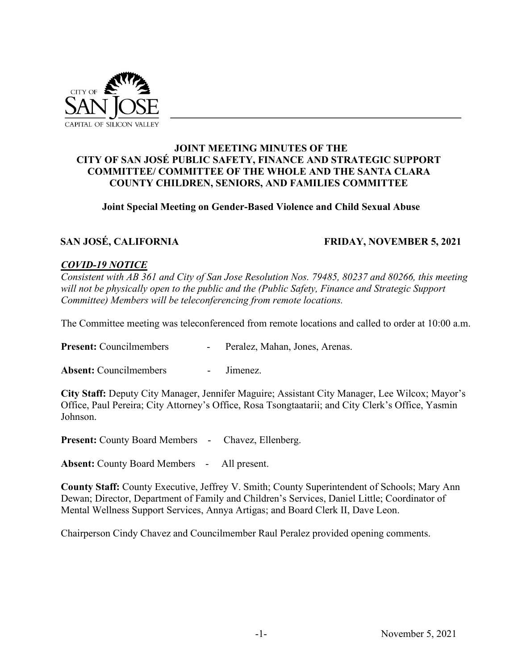

## **JOINT MEETING MINUTES OF THE CITY OF SAN JOSÉ PUBLIC SAFETY, FINANCE AND STRATEGIC SUPPORT COMMITTEE/ COMMITTEE OF THE WHOLE AND THE SANTA CLARA COUNTY CHILDREN, SENIORS, AND FAMILIES COMMITTEE**

## **Joint Special Meeting on Gender-Based Violence and Child Sexual Abuse**

### **SAN JOSÉ, CALIFORNIA FRIDAY, NOVEMBER 5, 2021**

### *COVID-19 NOTICE*

*Consistent with AB 361 and City of San Jose Resolution Nos. 79485, 80237 and 80266, this meeting will not be physically open to the public and the (Public Safety, Finance and Strategic Support Committee) Members will be teleconferencing from remote locations.*

The Committee meeting was teleconferenced from remote locations and called to order at 10:00 a.m.

Present: Councilmembers - Peralez, Mahan, Jones, Arenas.

Absent: Councilmembers - Jimenez.

**City Staff:** Deputy City Manager, Jennifer Maguire; Assistant City Manager, Lee Wilcox; Mayor's Office, Paul Pereira; City Attorney's Office, Rosa Tsongtaatarii; and City Clerk's Office, Yasmin Johnson.

**Present:** County Board Members - Chavez, Ellenberg.

**Absent:** County Board Members - All present.

**County Staff:** County Executive, Jeffrey V. Smith; County Superintendent of Schools; Mary Ann Dewan; Director, Department of Family and Children's Services, Daniel Little; Coordinator of Mental Wellness Support Services, Annya Artigas; and Board Clerk II, Dave Leon.

Chairperson Cindy Chavez and Councilmember Raul Peralez provided opening comments.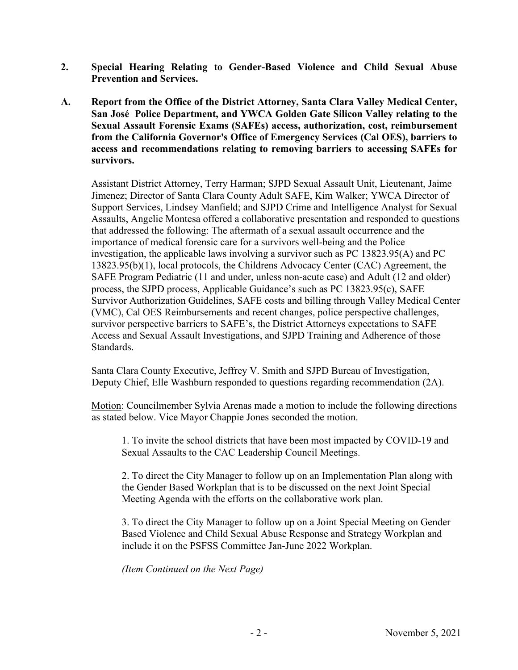- **2. Special Hearing Relating to Gender-Based Violence and Child Sexual Abuse Prevention and Services.**
- **A. Report from the Office of the District Attorney, Santa Clara Valley Medical Center, San José Police Department, and YWCA Golden Gate Silicon Valley relating to the Sexual Assault Forensic Exams (SAFEs) access, authorization, cost, reimbursement from the California Governor's Office of Emergency Services (Cal OES), barriers to access and recommendations relating to removing barriers to accessing SAFEs for survivors.**

Assistant District Attorney, Terry Harman; SJPD Sexual Assault Unit, Lieutenant, Jaime Jimenez; Director of Santa Clara County Adult SAFE, Kim Walker; YWCA Director of Support Services, Lindsey Manfield; and SJPD Crime and Intelligence Analyst for Sexual Assaults, Angelie Montesa offered a collaborative presentation and responded to questions that addressed the following: The aftermath of a sexual assault occurrence and the importance of medical forensic care for a survivors well-being and the Police investigation, the applicable laws involving a survivor such as PC 13823.95(A) and PC 13823.95(b)(1), local protocols, the Childrens Advocacy Center (CAC) Agreement, the SAFE Program Pediatric (11 and under, unless non-acute case) and Adult (12 and older) process, the SJPD process, Applicable Guidance's such as PC 13823.95(c), SAFE Survivor Authorization Guidelines, SAFE costs and billing through Valley Medical Center (VMC), Cal OES Reimbursements and recent changes, police perspective challenges, survivor perspective barriers to SAFE's, the District Attorneys expectations to SAFE Access and Sexual Assault Investigations, and SJPD Training and Adherence of those Standards.

Santa Clara County Executive, Jeffrey V. Smith and SJPD Bureau of Investigation, Deputy Chief, Elle Washburn responded to questions regarding recommendation (2A).

Motion: Councilmember Sylvia Arenas made a motion to include the following directions as stated below. Vice Mayor Chappie Jones seconded the motion.

1. To invite the school districts that have been most impacted by COVID-19 and Sexual Assaults to the CAC Leadership Council Meetings.

2. To direct the City Manager to follow up on an Implementation Plan along with the Gender Based Workplan that is to be discussed on the next Joint Special Meeting Agenda with the efforts on the collaborative work plan.

3. To direct the City Manager to follow up on a Joint Special Meeting on Gender Based Violence and Child Sexual Abuse Response and Strategy Workplan and include it on the PSFSS Committee Jan-June 2022 Workplan.

*(Item Continued on the Next Page)*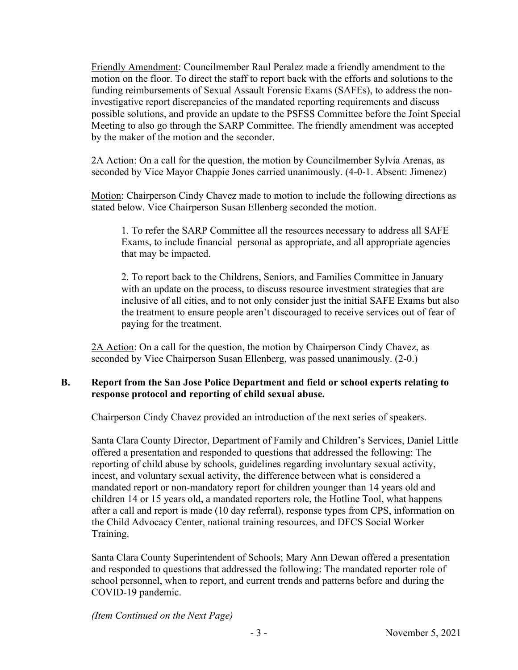Friendly Amendment: Councilmember Raul Peralez made a friendly amendment to the motion on the floor. To direct the staff to report back with the efforts and solutions to the funding reimbursements of Sexual Assault Forensic Exams (SAFEs), to address the noninvestigative report discrepancies of the mandated reporting requirements and discuss possible solutions, and provide an update to the PSFSS Committee before the Joint Special Meeting to also go through the SARP Committee. The friendly amendment was accepted by the maker of the motion and the seconder.

2A Action: On a call for the question, the motion by Councilmember Sylvia Arenas, as seconded by Vice Mayor Chappie Jones carried unanimously. (4-0-1. Absent: Jimenez)

Motion: Chairperson Cindy Chavez made to motion to include the following directions as stated below. Vice Chairperson Susan Ellenberg seconded the motion.

1. To refer the SARP Committee all the resources necessary to address all SAFE Exams, to include financial personal as appropriate, and all appropriate agencies that may be impacted.

2. To report back to the Childrens, Seniors, and Families Committee in January with an update on the process, to discuss resource investment strategies that are inclusive of all cities, and to not only consider just the initial SAFE Exams but also the treatment to ensure people aren't discouraged to receive services out of fear of paying for the treatment.

2A Action: On a call for the question, the motion by Chairperson Cindy Chavez, as seconded by Vice Chairperson Susan Ellenberg, was passed unanimously. (2-0.)

# **B. Report from the San Jose Police Department and field or school experts relating to response protocol and reporting of child sexual abuse.**

Chairperson Cindy Chavez provided an introduction of the next series of speakers.

Santa Clara County Director, Department of Family and Children's Services, Daniel Little offered a presentation and responded to questions that addressed the following: The reporting of child abuse by schools, guidelines regarding involuntary sexual activity, incest, and voluntary sexual activity, the difference between what is considered a mandated report or non-mandatory report for children younger than 14 years old and children 14 or 15 years old, a mandated reporters role, the Hotline Tool, what happens after a call and report is made (10 day referral), response types from CPS, information on the Child Advocacy Center, national training resources, and DFCS Social Worker Training.

Santa Clara County Superintendent of Schools; Mary Ann Dewan offered a presentation and responded to questions that addressed the following: The mandated reporter role of school personnel, when to report, and current trends and patterns before and during the COVID-19 pandemic.

*(Item Continued on the Next Page)*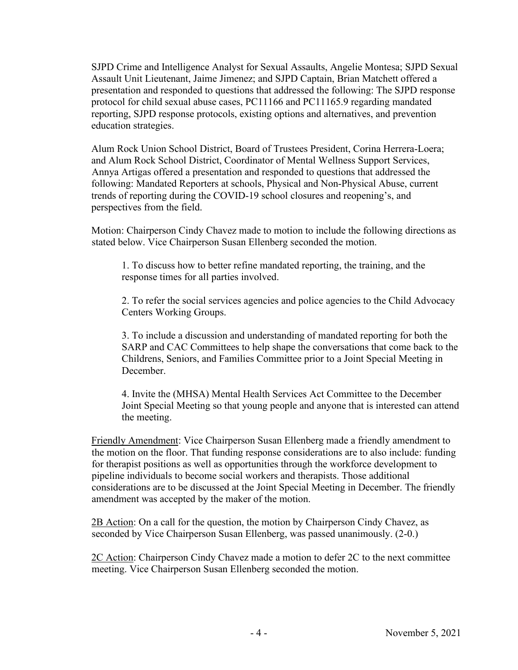SJPD Crime and Intelligence Analyst for Sexual Assaults, Angelie Montesa; SJPD Sexual Assault Unit Lieutenant, Jaime Jimenez; and SJPD Captain, Brian Matchett offered a presentation and responded to questions that addressed the following: The SJPD response protocol for child sexual abuse cases, PC11166 and PC11165.9 regarding mandated reporting, SJPD response protocols, existing options and alternatives, and prevention education strategies.

Alum Rock Union School District, Board of Trustees President, Corina Herrera-Loera; and Alum Rock School District, Coordinator of Mental Wellness Support Services, Annya Artigas offered a presentation and responded to questions that addressed the following: Mandated Reporters at schools, Physical and Non-Physical Abuse, current trends of reporting during the COVID-19 school closures and reopening's, and perspectives from the field.

Motion: Chairperson Cindy Chavez made to motion to include the following directions as stated below. Vice Chairperson Susan Ellenberg seconded the motion.

1. To discuss how to better refine mandated reporting, the training, and the response times for all parties involved.

2. To refer the social services agencies and police agencies to the Child Advocacy Centers Working Groups.

3. To include a discussion and understanding of mandated reporting for both the SARP and CAC Committees to help shape the conversations that come back to the Childrens, Seniors, and Families Committee prior to a Joint Special Meeting in December.

4. Invite the (MHSA) Mental Health Services Act Committee to the December Joint Special Meeting so that young people and anyone that is interested can attend the meeting.

Friendly Amendment: Vice Chairperson Susan Ellenberg made a friendly amendment to the motion on the floor. That funding response considerations are to also include: funding for therapist positions as well as opportunities through the workforce development to pipeline individuals to become social workers and therapists. Those additional considerations are to be discussed at the Joint Special Meeting in December. The friendly amendment was accepted by the maker of the motion.

2B Action: On a call for the question, the motion by Chairperson Cindy Chavez, as seconded by Vice Chairperson Susan Ellenberg, was passed unanimously. (2-0.)

2C Action: Chairperson Cindy Chavez made a motion to defer 2C to the next committee meeting. Vice Chairperson Susan Ellenberg seconded the motion.